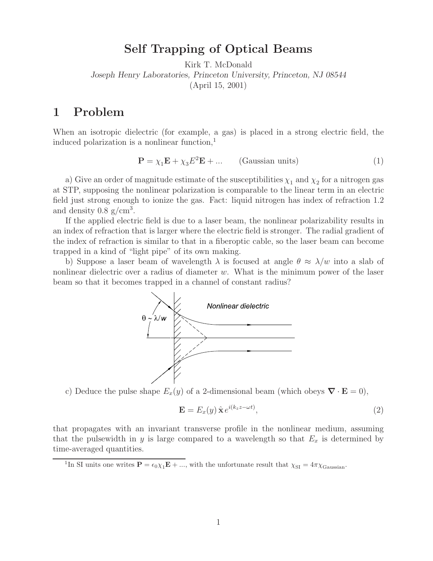External Beams of Optical Beams Beams of Optical Beams Beams Beams Beams and Optical Beams Beams of Dental Beams Beams Beams of  $\mathbf{F}$  and  $\mathbf{F}$  are  $\mathbf{F}$  and  $\mathbf{F}$  are  $\mathbf{F}$  and  $\mathbf{F}$  are  $\mathbf{F}$  are  $\math$ *Joseph Henry Laboratories, Princeton University, Princeton, NJ 08544* (April 15, 2001)

When an isotropic dielectric (for example, a gas) is placed in a strong electric field, the induced polarization is a nonlinear function, $<sup>1</sup>$ </sup>

$$
\mathbf{P} = \chi_1 \mathbf{E} + \chi_3 E^2 \mathbf{E} + \dots \qquad \text{(Gaussian units)} \tag{1}
$$

a) Give an order of magnitude estimate of the susceptibilities  $\chi_1$  and  $\chi_2$  for a nitrogen gas at STP, supposing the nonlinear polarization is comparable to the linear term in an electric field just strong enough to ionize the gas. Fact: liquid nitrogen has index of refraction 1.2 and density  $0.8 \text{ g/cm}^3$ .

If the applied electric field is due to a laser beam, the nonlinear polarizability results in an index of refraction that is larger where the electric field is stronger. The radial gradient of the index of refraction is similar to that in a fiberoptic cable, so the laser beam can become trapped in a kind of "light pipe" of its own making.

b) Suppose a laser beam of wavelength  $\lambda$  is focused at angle  $\theta \approx \lambda/w$  into a slab of nonlinear dielectric over a radius of diameter  $w$ . What is the minimum power of the laser beam so that it becomes trapped in a channel of constant radius?



c) Deduce the pulse shape  $E_x(y)$  of a 2-dimensional beam (which obeys  $\nabla \cdot \mathbf{E} = 0$ ),

$$
\mathbf{E} = E_x(y) \, \hat{\mathbf{x}} \, e^{i(k_z z - \omega t)},\tag{2}
$$

that propagates with an invariant transverse profile in the nonlinear medium, assuming that the pulsewidth in y is large compared to a wavelength so that  $E_x$  is determined by time-averaged quantities.

<sup>&</sup>lt;sup>1</sup>In SI units one writes  $\mathbf{P} = \epsilon_0 \chi_1 \mathbf{E} + ...$ , with the unfortunate result that  $\chi_{SI} = 4\pi \chi_{\text{Gaussian}}$ .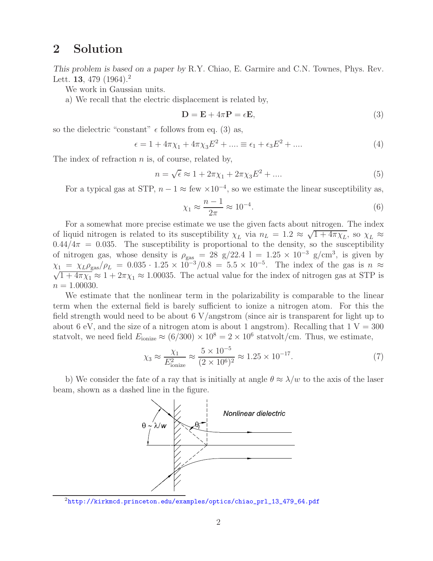## **2 Solution**

*This problem is based on a paper by* R.Y. Chiao, E. Garmire and C.N. Townes, Phys. Rev. Lett. **13**, 479 (1964).<sup>2</sup>

We work in Gaussian units.

a) We recall that the electric displacement is related by,

$$
\mathbf{D} = \mathbf{E} + 4\pi \mathbf{P} = \epsilon \mathbf{E},\tag{3}
$$

so the dielectric "constant"  $\epsilon$  follows from eq. (3) as,

$$
\epsilon = 1 + 4\pi \chi_1 + 4\pi \chi_3 E^2 + \dots \equiv \epsilon_1 + \epsilon_3 E^2 + \dots \tag{4}
$$

The index of refraction  $n$  is, of course, related by,

$$
n = \sqrt{\epsilon} \approx 1 + 2\pi\chi_1 + 2\pi\chi_3 E^2 + \dots
$$
 (5)

For a typical gas at STP,  $n - 1 \approx$  few  $\times 10^{-4}$ , so we estimate the linear susceptibility as,

$$
\chi_1 \approx \frac{n-1}{2\pi} \approx 10^{-4}.\tag{6}
$$

For a somewhat more precise estimate we use the given facts about nitrogen. The index of liquid nitrogen is related to its susceptibility  $\chi_L$  via  $n_L = 1.2 \approx \sqrt{1+4\pi\chi_L}$ , so  $\chi_L \approx$  $0.44/4\pi = 0.035$ . The susceptibility is proportional to the density, so the susceptibility of nitrogen gas, whose density is  $\rho_{\text{gas}} = 28 \text{ g}/22.4 \text{ l} = 1.25 \times 10^{-3} \text{ g/cm}^3$ , is given by  $\chi_1 = \chi_L \rho_{\text{gas}}/\rho_L = 0.035 \cdot 1.25 \times 10^{-3}/0.8 = 5.5 \times 10^{-5}$ . The index of the gas is  $n \approx \sqrt{1+4\pi\chi_R} \approx 1+2\pi\chi_L \approx 1.00035$ . The actual value for the index of pitrogen gas at STD is  $\sqrt{1+4\pi\chi_1} \approx 1+2\pi\chi_1 \approx 1.00035$ . The actual value for the index of nitrogen gas at STP is  $n = 1.00030$ .

We estimate that the nonlinear term in the polarizability is comparable to the linear term when the external field is barely sufficient to ionize a nitrogen atom. For this the field strength would need to be about 6  $V/$ angstrom (since air is transparent for light up to about 6 eV, and the size of a nitrogen atom is about 1 angstrom). Recalling that  $1 V = 300$ statvolt, we need field  $E_{\text{ionize}} \approx (6/300) \times 10^8 = 2 \times 10^6$  statvolt/cm. Thus, we estimate,

$$
\chi_3 \approx \frac{\chi_1}{E_{\text{ionize}}^2} \approx \frac{5 \times 10^{-5}}{(2 \times 10^6)^2} \approx 1.25 \times 10^{-17}.
$$
 (7)

b) We consider the fate of a ray that is initially at angle  $\theta \approx \lambda/w$  to the axis of the laser beam, shown as a dashed line in the figure.



<sup>2</sup>http://kirkmcd.princeton.edu/examples/optics/chiao\_prl\_13\_479\_64.pdf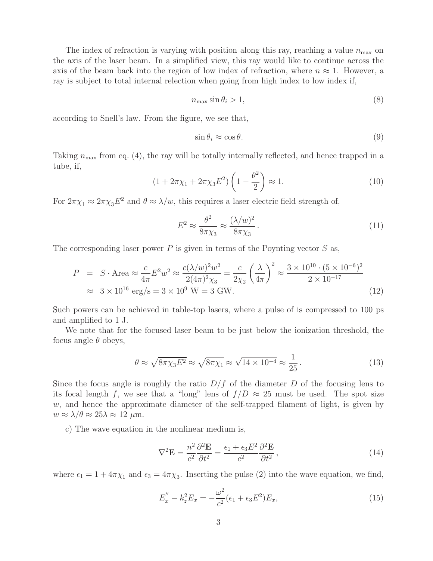The index of refraction is varying with position along this ray, reaching a value  $n_{\text{max}}$  on the axis of the laser beam. In a simplified view, this ray would like to continue across the axis of the beam back into the region of low index of refraction, where  $n \approx 1$ . However, a ray is subject to total internal relection when going from high index to low index if,

$$
n_{\max} \sin \theta_i > 1,\tag{8}
$$

according to Snell's law. From the figure, we see that,

$$
\sin \theta_i \approx \cos \theta. \tag{9}
$$

Taking  $n_{\text{max}}$  from eq. (4), the ray will be totally internally reflected, and hence trapped in a tube, if,

$$
(1 + 2\pi\chi_1 + 2\pi\chi_3 E^2) \left(1 - \frac{\theta^2}{2}\right) \approx 1.
$$
 (10)

For  $2\pi\chi_1 \approx 2\pi\chi_3 E^2$  and  $\theta \approx \lambda/w$ , this requires a laser electric field strength of,

$$
E^2 \approx \frac{\theta^2}{8\pi\chi_3} \approx \frac{(\lambda/w)^2}{8\pi\chi_3}.
$$
\n(11)

The corresponding laser power  $P$  is given in terms of the Poynting vector  $S$  as,

$$
P = S \cdot \text{Area} \approx \frac{c}{4\pi} E^2 w^2 \approx \frac{c(\lambda/w)^2 w^2}{2(4\pi)^2 \chi_3} = \frac{c}{2\chi_2} \left(\frac{\lambda}{4\pi}\right)^2 \approx \frac{3 \times 10^{10} \cdot (5 \times 10^{-6})^2}{2 \times 10^{-17}}
$$
  

$$
\approx 3 \times 10^{16} \text{ erg/s} = 3 \times 10^9 \text{ W} = 3 \text{ GW.}
$$
 (12)

Such powers can be achieved in table-top lasers, where a pulse of is compressed to 100 ps and amplified to 1 J.

We note that for the focused laser beam to be just below the ionization threshold, the focus angle  $\theta$  obeys,

$$
\theta \approx \sqrt{8\pi \chi_3 E^2} \approx \sqrt{8\pi \chi_1} \approx \sqrt{14 \times 10^{-4}} \approx \frac{1}{25} \,. \tag{13}
$$

Since the focus angle is roughly the ratio  $D/f$  of the diameter D of the focusing lens to its focal length f, we see that a "long" lens of  $f/D \approx 25$  must be used. The spot size  $w$ , and hence the approximate diameter of the self-trapped filament of light, is given by  $w \approx \lambda/\theta \approx 25\lambda \approx 12 \mu \text{m}$ .

c) The wave equation in the nonlinear medium is,

$$
\nabla^2 \mathbf{E} = \frac{n^2}{c^2} \frac{\partial^2 \mathbf{E}}{\partial t^2} = \frac{\epsilon_1 + \epsilon_3 E^2}{c^2} \frac{\partial^2 \mathbf{E}}{\partial t^2},\tag{14}
$$

where  $\epsilon_1 = 1 + 4\pi\chi_1$  and  $\epsilon_3 = 4\pi\chi_3$ . Inserting the pulse (2) into the wave equation, we find,

$$
E''_x - k_z^2 E_x = -\frac{\omega^2}{c^2} (\epsilon_1 + \epsilon_3 E^2) E_x,
$$
\n(15)